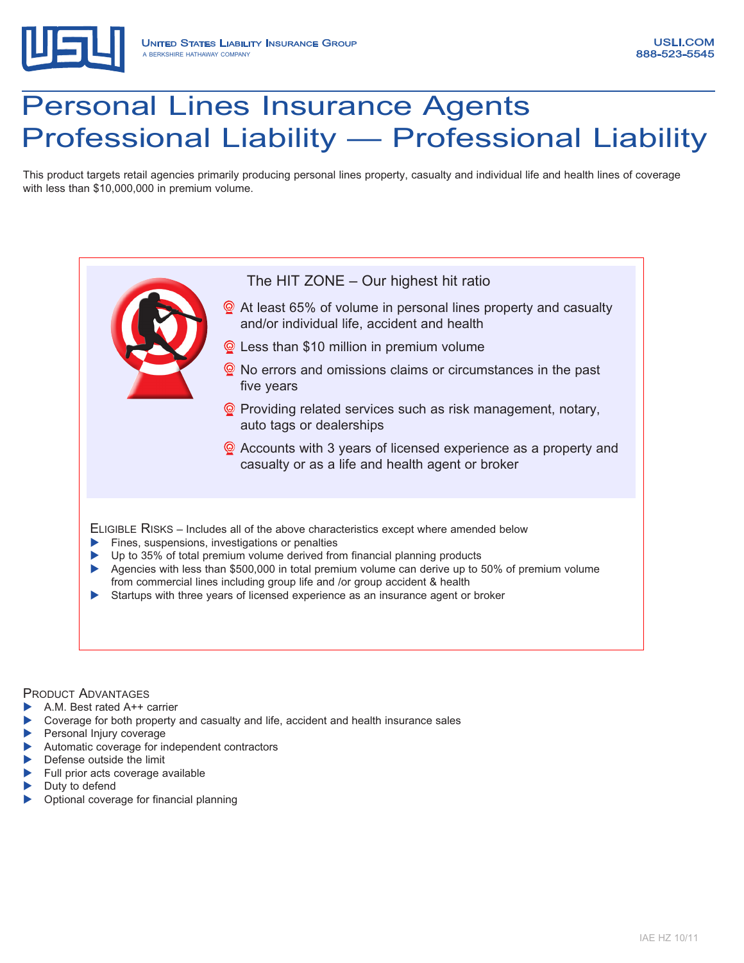

# Personal Lines Insurance Agents Professional Liability — Professional Liability

This product targets retail agencies primarily producing personal lines property, casualty and individual life and health lines of coverage with less than \$10,000,000 in premium volume.

## The HIT ZONE – Our highest hit ratio **Q** At least 65% of volume in personal lines property and casualty and/or individual life, accident and health **Q** Less than \$10 million in premium volume **Q** No errors and omissions claims or circumstances in the past five years **Q** Providing related services such as risk management, notary, auto tags or dealerships ◎ Accounts with 3 years of licensed experience as a property and casualty or as a life and health agent or broker Eligible Risks – Includes all of the above characteristics except where amended below  $\blacktriangleright$  Fines, suspensions, investigations or penalties Up to 35% of total premium volume derived from financial planning products Agencies with less than \$500,000 in total premium volume can derive up to 50% of premium volume from commercial lines including group life and /or group accident & health Startups with three years of licensed experience as an insurance agent or broker

#### PRODUCT ADVANTAGES

- A.M. Best rated A++ carrier
- Coverage for both property and casualty and life, accident and health insurance sales
- Personal Injury coverage
- Automatic coverage for independent contractors
- Defense outside the limit
- Full prior acts coverage available
- Duty to defend
- Optional coverage for financial planning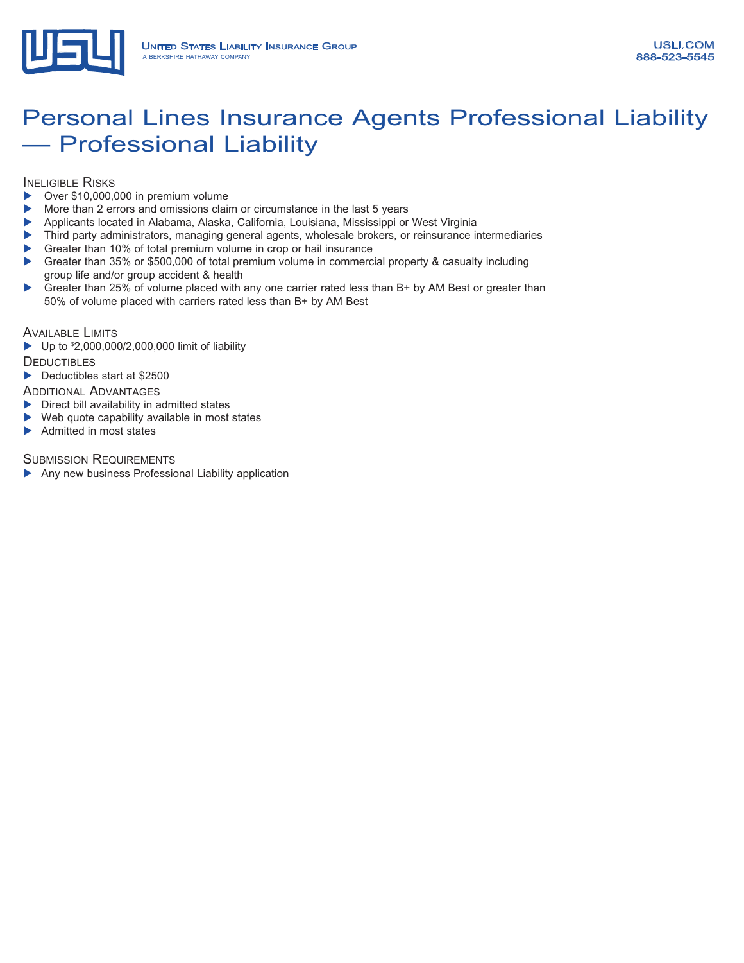

## Personal Lines Insurance Agents Professional Liability — Professional Liability

**INELIGIBLE RISKS** 

- $\triangleright$  Over \$10,000,000 in premium volume
- More than 2 errors and omissions claim or circumstance in the last 5 years
- **>** Applicants located in Alabama, Alaska, California, Louisiana, Mississippi or West Virginia
- **Third party administrators, managing general agents, wholesale brokers, or reinsurance intermediaries**
- Greater than 10% of total premium volume in crop or hail insurance
- Greater than 35% or \$500,000 of total premium volume in commercial property & casualty including group life and/or group accident & health
- ▶ Greater than 25% of volume placed with any one carrier rated less than B+ by AM Best or greater than 50% of volume placed with carriers rated less than B+ by AM Best

AVAILABLE LIMITS

 $\blacktriangleright$  Up to  $^{\circ}2,000,000/2,000,000$  limit of liability

**DEDUCTIBLES** 

Deductibles start at \$2500

ADDITIONAL ADVANTAGES

- $\blacktriangleright$  Direct bill availability in admitted states
- $\blacktriangleright$  Web quote capability available in most states
- $\blacktriangleright$  Admitted in most states

**SUBMISSION REQUIREMENTS** 

 $\blacktriangleright$  Any new business Professional Liability application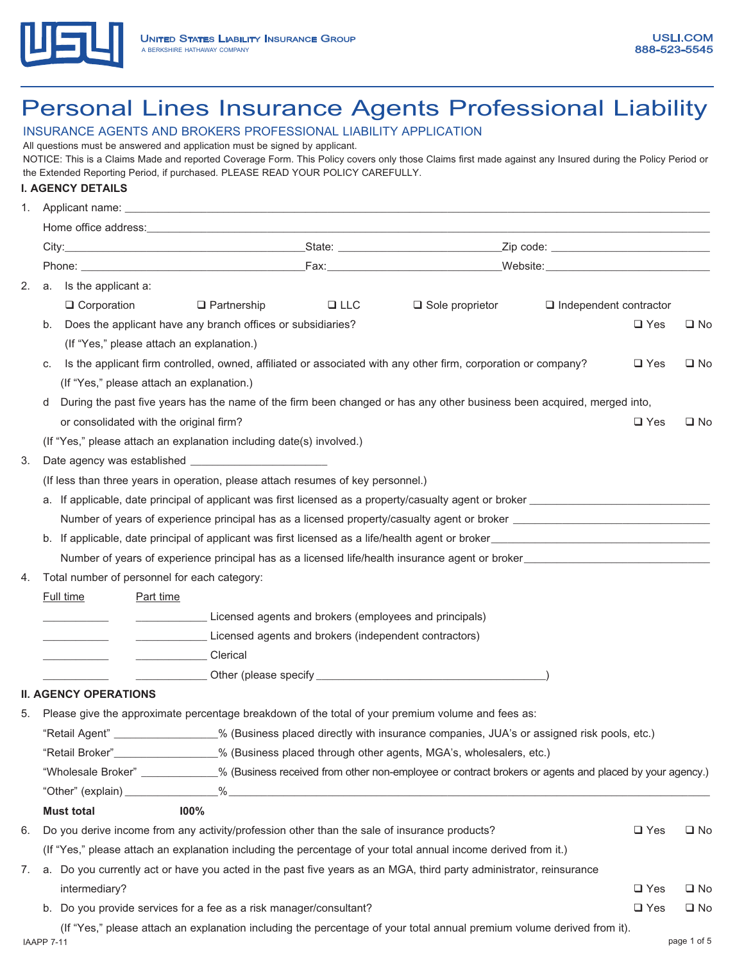

## Personal Lines Insurance Agents Professional Liability

#### INSURANCE AGENTS AND BROKERS PROFESSIONAL LIABILITY APPLICATION

All questions must be answered and application must be signed by applicant.

NOTICE: This is a Claims Made and reported Coverage Form. This Policy covers only those Claims first made against any Insured during the Policy Period or the Extended Reporting Period, if purchased. PLEASE READ YOUR POLICY CAREFULLY.

#### **I. AGENCY DETAILS**

| 1. |    |                                              | Applicant name: experience and a series of the series of the series of the series of the series of the series of the series of the series of the series of the series of the series of the series of the series of the series  |            |                                                                                                                                      |                               |               |              |  |  |
|----|----|----------------------------------------------|--------------------------------------------------------------------------------------------------------------------------------------------------------------------------------------------------------------------------------|------------|--------------------------------------------------------------------------------------------------------------------------------------|-------------------------------|---------------|--------------|--|--|
|    |    |                                              | Home office address: Universe and Security and Security and Security and Security and Security and Security and Security and Security and Security and Security and Security and Security and Security and Security and Securi |            |                                                                                                                                      |                               |               |              |  |  |
|    |    |                                              |                                                                                                                                                                                                                                |            |                                                                                                                                      |                               |               |              |  |  |
|    |    |                                              |                                                                                                                                                                                                                                |            |                                                                                                                                      |                               |               |              |  |  |
| 2. | a. | Is the applicant a:                          |                                                                                                                                                                                                                                |            |                                                                                                                                      |                               |               |              |  |  |
|    |    | $\Box$ Corporation                           | $\Box$ Partnership                                                                                                                                                                                                             | $\Box$ LLC | $\Box$ Sole proprietor                                                                                                               | $\Box$ Independent contractor |               |              |  |  |
|    | b. |                                              | Does the applicant have any branch offices or subsidiaries?                                                                                                                                                                    |            |                                                                                                                                      |                               | $\square$ Yes | $\square$ No |  |  |
|    |    | (If "Yes," please attach an explanation.)    |                                                                                                                                                                                                                                |            |                                                                                                                                      |                               |               |              |  |  |
|    | C. |                                              |                                                                                                                                                                                                                                |            | Is the applicant firm controlled, owned, affiliated or associated with any other firm, corporation or company?                       |                               | $\square$ Yes | $\square$ No |  |  |
|    |    | (If "Yes," please attach an explanation.)    |                                                                                                                                                                                                                                |            |                                                                                                                                      |                               |               |              |  |  |
|    | d  |                                              |                                                                                                                                                                                                                                |            | During the past five years has the name of the firm been changed or has any other business been acquired, merged into,               |                               |               |              |  |  |
|    |    | or consolidated with the original firm?      |                                                                                                                                                                                                                                |            |                                                                                                                                      |                               | $\Box$ Yes    | $\square$ No |  |  |
|    |    |                                              | (If "Yes," please attach an explanation including date(s) involved.)                                                                                                                                                           |            |                                                                                                                                      |                               |               |              |  |  |
| 3. |    |                                              |                                                                                                                                                                                                                                |            |                                                                                                                                      |                               |               |              |  |  |
|    |    |                                              | (If less than three years in operation, please attach resumes of key personnel.)                                                                                                                                               |            |                                                                                                                                      |                               |               |              |  |  |
|    |    |                                              |                                                                                                                                                                                                                                |            |                                                                                                                                      |                               |               |              |  |  |
|    |    |                                              |                                                                                                                                                                                                                                |            |                                                                                                                                      |                               |               |              |  |  |
|    |    |                                              |                                                                                                                                                                                                                                |            |                                                                                                                                      |                               |               |              |  |  |
|    |    |                                              |                                                                                                                                                                                                                                |            | Number of years of experience principal has as a licensed life/health insurance agent or broker                                      |                               |               |              |  |  |
| 4. |    | Total number of personnel for each category: |                                                                                                                                                                                                                                |            |                                                                                                                                      |                               |               |              |  |  |
|    |    | <b>Full time</b><br>Part time                |                                                                                                                                                                                                                                |            |                                                                                                                                      |                               |               |              |  |  |
|    |    |                                              | Licensed agents and brokers (employees and principals)                                                                                                                                                                         |            |                                                                                                                                      |                               |               |              |  |  |
|    |    |                                              | Licensed agents and brokers (independent contractors)                                                                                                                                                                          |            |                                                                                                                                      |                               |               |              |  |  |
|    |    |                                              | Clerical<br><u> 1990 - John Barn Barn, amerikan ba</u>                                                                                                                                                                         |            |                                                                                                                                      |                               |               |              |  |  |
|    |    |                                              |                                                                                                                                                                                                                                |            |                                                                                                                                      |                               |               |              |  |  |
|    |    | <b>II. AGENCY OPERATIONS</b>                 |                                                                                                                                                                                                                                |            |                                                                                                                                      |                               |               |              |  |  |
| 5. |    |                                              |                                                                                                                                                                                                                                |            | Please give the approximate percentage breakdown of the total of your premium volume and fees as:                                    |                               |               |              |  |  |
|    |    |                                              |                                                                                                                                                                                                                                |            | "Retail Agent" ________________% (Business placed directly with insurance companies, JUA's or assigned risk pools, etc.)             |                               |               |              |  |  |
|    |    |                                              |                                                                                                                                                                                                                                |            | "Retail Broker" _______________% (Business placed through other agents, MGA's, wholesalers, etc.)                                    |                               |               |              |  |  |
|    |    |                                              |                                                                                                                                                                                                                                |            | "Wholesale Broker" ___________% (Business received from other non-employee or contract brokers or agents and placed by your agency.) |                               |               |              |  |  |
|    |    |                                              |                                                                                                                                                                                                                                |            |                                                                                                                                      |                               |               |              |  |  |
|    |    | <b>Must total</b>                            | <b>100%</b>                                                                                                                                                                                                                    |            |                                                                                                                                      |                               |               |              |  |  |
| 6. |    |                                              | Do you derive income from any activity/profession other than the sale of insurance products?                                                                                                                                   |            |                                                                                                                                      |                               | $\square$ Yes | $\square$ No |  |  |
|    |    |                                              |                                                                                                                                                                                                                                |            | (If "Yes," please attach an explanation including the percentage of your total annual income derived from it.)                       |                               |               |              |  |  |
| 7. |    |                                              |                                                                                                                                                                                                                                |            | a. Do you currently act or have you acted in the past five years as an MGA, third party administrator, reinsurance                   |                               |               |              |  |  |
|    |    | intermediary?                                |                                                                                                                                                                                                                                |            |                                                                                                                                      |                               | $\Box$ Yes    | $\square$ No |  |  |
|    | b. |                                              | Do you provide services for a fee as a risk manager/consultant?                                                                                                                                                                |            |                                                                                                                                      |                               | $\square$ Yes | $\square$ No |  |  |
|    |    |                                              |                                                                                                                                                                                                                                |            | (If "Yes," please attach an explanation including the percentage of your total annual premium volume derived from it).               |                               |               |              |  |  |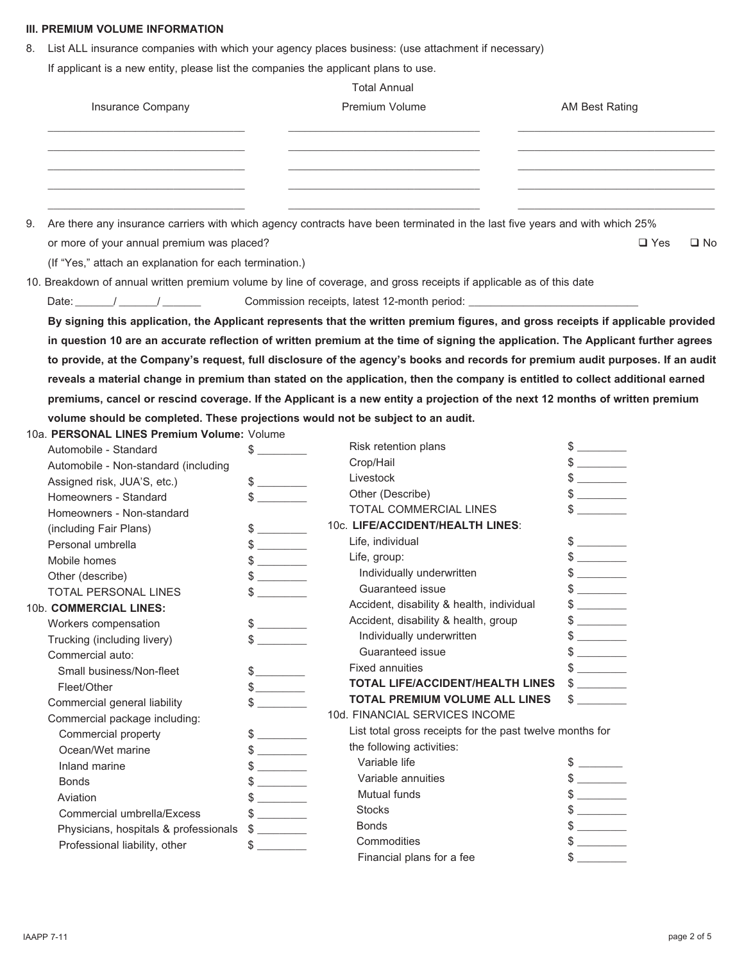#### **III. PREMIUM VOLUME INFORMATION**

8. List ALL insurance companies with which your agency places business: (use attachment if necessary) If applicant is a new entity, please list the companies the applicant plans to use.

Total Annual

| Insurance Company | <b>Premium Volume</b> | AM Best Rating |
|-------------------|-----------------------|----------------|
|                   |                       |                |
|                   |                       |                |
|                   |                       |                |

or more of your annual premium was placed?  $\Box$  Yes  $\Box$  No

(If "Yes," attach an explanation for each termination.)

10. Breakdown of annual written premium volume by line of coverage, and gross receipts if applicable as of this date

Date: \_\_\_\_\_\_\_/ \_\_\_\_\_\_\_/ \_\_\_\_\_\_\_\_\_\_\_\_\_\_\_\_ Commission receipts, latest 12-month period:

**By signing this application, the Applicant represents that the written premium figures, and gross receipts if applicable provided in question 10 are an accurate reflection of written premium at the time of signing the application. The Applicant further agrees to provide, at the Company's request, full disclosure of the agency's books and records for premium audit purposes. If an audit reveals a material change in premium than stated on the application, then the company is entitled to collect additional earned premiums, cancel or rescind coverage. If the Applicant is a new entity a projection of the next 12 months of written premium volume should be completed. These projections would not be subject to an audit.**

10a. **PERSONAL LINES Premium Volume:** Volume

| Automobile - Standard                 | \$.           | Risk retention plans                                     | \$                                                        |
|---------------------------------------|---------------|----------------------------------------------------------|-----------------------------------------------------------|
| Automobile - Non-standard (including  |               | Crop/Hail                                                |                                                           |
| Assigned risk, JUA'S, etc.)           |               | Livestock                                                | $\frac{1}{2}$                                             |
| Homeowners - Standard                 | $\mathbb{S}$  | Other (Describe)                                         |                                                           |
| Homeowners - Non-standard             |               | <b>TOTAL COMMERCIAL LINES</b>                            |                                                           |
| (including Fair Plans)                |               | 10c. LIFE/ACCIDENT/HEALTH LINES:                         |                                                           |
| Personal umbrella                     |               | Life, individual                                         | $$\overbrace{\hspace{2.5cm}}$$                            |
| Mobile homes                          | $\frac{1}{2}$ | Life, group:                                             |                                                           |
| Other (describe)                      | $\frac{1}{2}$ | Individually underwritten                                | $$\overbrace{\hspace{2.5cm}}$                             |
| <b>TOTAL PERSONAL LINES</b>           |               | Guaranteed issue                                         | $\frac{1}{2}$                                             |
| 10b. COMMERCIAL LINES:                |               | Accident, disability & health, individual                | $\frac{1}{2}$                                             |
| Workers compensation                  |               | Accident, disability & health, group                     |                                                           |
| Trucking (including livery)           | \$            | Individually underwritten                                | $\frac{1}{2}$                                             |
| Commercial auto:                      |               | Guaranteed issue                                         | $$\overbrace{\hspace{2.5cm}}$$                            |
| Small business/Non-fleet              |               | <b>Fixed annuities</b>                                   | $\mathcal{L}(\mathcal{L})$ and $\mathcal{L}(\mathcal{L})$ |
| Fleet/Other                           | $\frac{1}{2}$ | <b>TOTAL LIFE/ACCIDENT/HEALTH LINES</b>                  | $\frac{1}{2}$                                             |
| Commercial general liability          |               | <b>TOTAL PREMIUM VOLUME ALL LINES</b>                    |                                                           |
| Commercial package including:         |               | 10d. FINANCIAL SERVICES INCOME                           |                                                           |
| Commercial property                   |               | List total gross receipts for the past twelve months for |                                                           |
| Ocean/Wet marine                      | \$            | the following activities:                                |                                                           |
| Inland marine                         | $\frac{1}{2}$ | Variable life                                            |                                                           |
| <b>Bonds</b>                          |               | Variable annuities                                       |                                                           |
| Aviation                              | $\frac{1}{2}$ | Mutual funds                                             | $\frac{1}{2}$                                             |
| Commercial umbrella/Excess            |               | <b>Stocks</b>                                            | $$\overbrace{\hspace{2.5cm}}$$                            |
| Physicians, hospitals & professionals | $\frac{1}{2}$ | <b>Bonds</b>                                             | $\frac{1}{2}$                                             |
| Professional liability, other         | \$.           | Commodities                                              |                                                           |
|                                       |               | Financial plans for a fee                                |                                                           |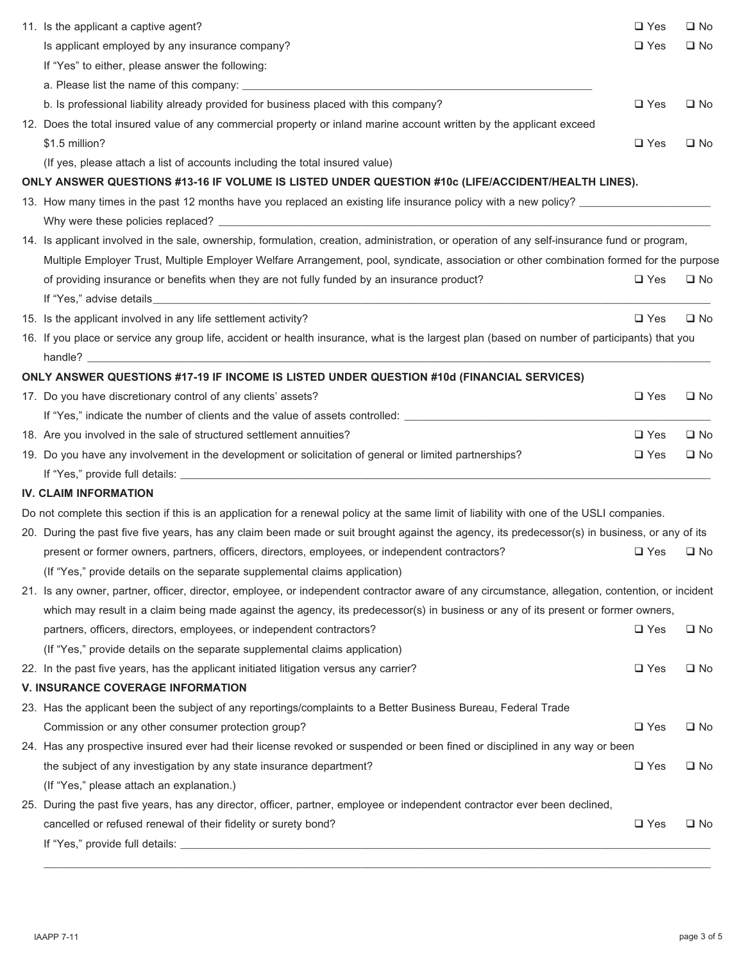| 11. Is the applicant a captive agent?                                                                                                            | $\square$ Yes | $\square$ No |
|--------------------------------------------------------------------------------------------------------------------------------------------------|---------------|--------------|
| Is applicant employed by any insurance company?                                                                                                  | $\Box$ Yes    | $\square$ No |
| If "Yes" to either, please answer the following:                                                                                                 |               |              |
|                                                                                                                                                  |               |              |
| b. Is professional liability already provided for business placed with this company?                                                             | $\square$ Yes | $\square$ No |
| 12. Does the total insured value of any commercial property or inland marine account written by the applicant exceed                             |               |              |
| \$1.5 million?                                                                                                                                   | $\square$ Yes | $\square$ No |
| (If yes, please attach a list of accounts including the total insured value)                                                                     |               |              |
| ONLY ANSWER QUESTIONS #13-16 IF VOLUME IS LISTED UNDER QUESTION #10c (LIFE/ACCIDENT/HEALTH LINES).                                               |               |              |
| 13. How many times in the past 12 months have you replaced an existing life insurance policy with a new policy?                                  |               |              |
|                                                                                                                                                  |               |              |
| 14. Is applicant involved in the sale, ownership, formulation, creation, administration, or operation of any self-insurance fund or program,     |               |              |
| Multiple Employer Trust, Multiple Employer Welfare Arrangement, pool, syndicate, association or other combination formed for the purpose         |               |              |
| of providing insurance or benefits when they are not fully funded by an insurance product?                                                       | $\square$ Yes | $\square$ No |
|                                                                                                                                                  |               |              |
| 15. Is the applicant involved in any life settlement activity?                                                                                   | $\square$ Yes | $\square$ No |
| 16. If you place or service any group life, accident or health insurance, what is the largest plan (based on number of participants) that you    |               |              |
| handle?                                                                                                                                          |               |              |
| ONLY ANSWER QUESTIONS #17-19 IF INCOME IS LISTED UNDER QUESTION #10d (FINANCIAL SERVICES)                                                        |               |              |
| 17. Do you have discretionary control of any clients' assets?                                                                                    | $\square$ Yes | $\square$ No |
| If "Yes," indicate the number of clients and the value of assets controlled: _________________________________                                   |               |              |
| 18. Are you involved in the sale of structured settlement annuities?                                                                             | $\Box$ Yes    | $\square$ No |
| 19. Do you have any involvement in the development or solicitation of general or limited partnerships?                                           | $\square$ Yes | $\square$ No |
|                                                                                                                                                  |               |              |
| <b>IV. CLAIM INFORMATION</b>                                                                                                                     |               |              |
| Do not complete this section if this is an application for a renewal policy at the same limit of liability with one of the USLI companies.       |               |              |
| 20. During the past five five years, has any claim been made or suit brought against the agency, its predecessor(s) in business, or any of its   |               |              |
| present or former owners, partners, officers, directors, employees, or independent contractors?                                                  | $\square$ Yes | $\square$ No |
| (If "Yes," provide details on the separate supplemental claims application)                                                                      |               |              |
| 21. Is any owner, partner, officer, director, employee, or independent contractor aware of any circumstance, allegation, contention, or incident |               |              |
| which may result in a claim being made against the agency, its predecessor(s) in business or any of its present or former owners,                |               |              |
| partners, officers, directors, employees, or independent contractors?                                                                            | $\Box$ Yes    | $\square$ No |
| (If "Yes," provide details on the separate supplemental claims application)                                                                      |               |              |
| 22. In the past five years, has the applicant initiated litigation versus any carrier?                                                           | $\square$ Yes | $\square$ No |
| <b>V. INSURANCE COVERAGE INFORMATION</b>                                                                                                         |               |              |
| 23. Has the applicant been the subject of any reportings/complaints to a Better Business Bureau, Federal Trade                                   |               |              |
| Commission or any other consumer protection group?                                                                                               | $\square$ Yes | $\square$ No |
| 24. Has any prospective insured ever had their license revoked or suspended or been fined or disciplined in any way or been                      |               |              |
| the subject of any investigation by any state insurance department?                                                                              | $\square$ Yes | $\square$ No |
| (If "Yes," please attach an explanation.)                                                                                                        |               |              |
| 25. During the past five years, has any director, officer, partner, employee or independent contractor ever been declined,                       |               |              |
| cancelled or refused renewal of their fidelity or surety bond?                                                                                   | $\square$ Yes | $\square$ No |
|                                                                                                                                                  |               |              |
|                                                                                                                                                  |               |              |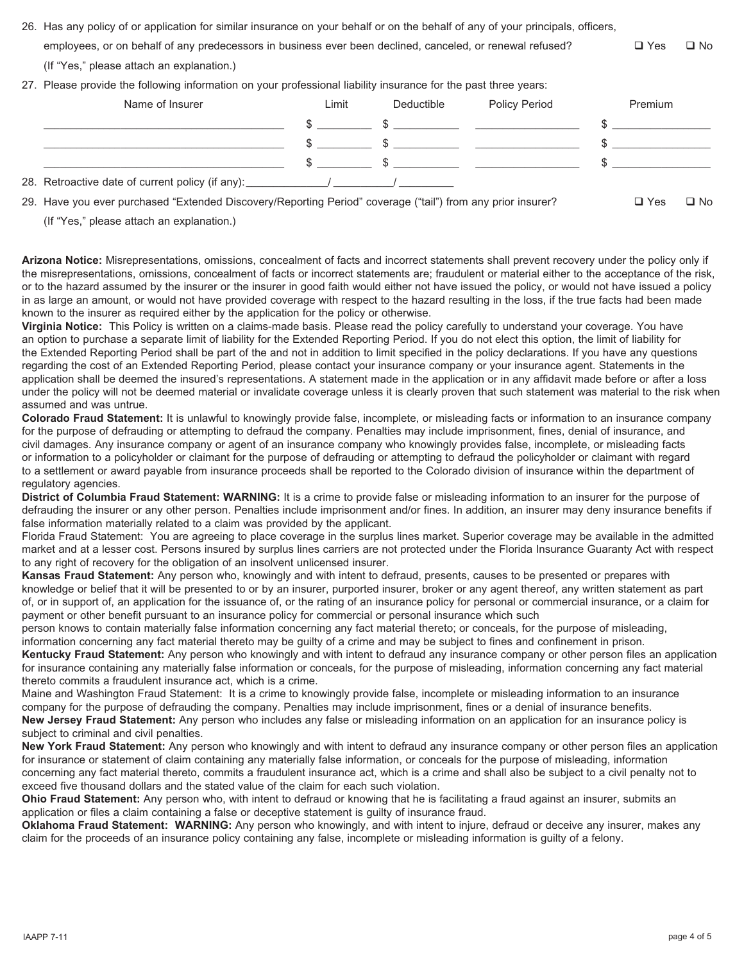- 26. Has any policy of or application for similar insurance on your behalf or on the behalf of any of your principals, officers, employees, or on behalf of any predecessors in business ever been declined, canceled, or renewal refused?  $\square$  Yes  $\square$  No (If "Yes," please attach an explanation.)
- 27. Please provide the following information on your professional liability insurance for the past three years:

| Name of Insurer                                                                                             | Limit | Deductible | <b>Policy Period</b> | Premium |      |
|-------------------------------------------------------------------------------------------------------------|-------|------------|----------------------|---------|------|
|                                                                                                             |       |            |                      |         |      |
|                                                                                                             |       |            |                      |         |      |
|                                                                                                             |       | $\sim$     |                      |         |      |
|                                                                                                             |       |            |                      |         |      |
| 29. Have you ever purchased "Extended Discovery/Reporting Period" coverage ("tail") from any prior insurer? |       |            |                      | □ Yes   | □ No |

(If "Yes," please attach an explanation.)

**Arizona Notice:** Misrepresentations, omissions, concealment of facts and incorrect statements shall prevent recovery under the policy only if the misrepresentations, omissions, concealment of facts or incorrect statements are; fraudulent or material either to the acceptance of the risk, or to the hazard assumed by the insurer or the insurer in good faith would either not have issued the policy, or would not have issued a policy in as large an amount, or would not have provided coverage with respect to the hazard resulting in the loss, if the true facts had been made known to the insurer as required either by the application for the policy or otherwise.

**Virginia Notice:** This Policy is written on a claims-made basis. Please read the policy carefully to understand your coverage. You have an option to purchase a separate limit of liability for the Extended Reporting Period. If you do not elect this option, the limit of liability for the Extended Reporting Period shall be part of the and not in addition to limit specified in the policy declarations. If you have any questions regarding the cost of an Extended Reporting Period, please contact your insurance company or your insurance agent. Statements in the application shall be deemed the insured's representations. A statement made in the application or in any affidavit made before or after a loss under the policy will not be deemed material or invalidate coverage unless it is clearly proven that such statement was material to the risk when assumed and was untrue.

**Colorado Fraud Statement:** It is unlawful to knowingly provide false, incomplete, or misleading facts or information to an insurance company for the purpose of defrauding or attempting to defraud the company. Penalties may include imprisonment, fines, denial of insurance, and civil damages. Any insurance company or agent of an insurance company who knowingly provides false, incomplete, or misleading facts or information to a policyholder or claimant for the purpose of defrauding or attempting to defraud the policyholder or claimant with regard to a settlement or award payable from insurance proceeds shall be reported to the Colorado division of insurance within the department of regulatory agencies.

**District of Columbia Fraud Statement: WARNING:** It is a crime to provide false or misleading information to an insurer for the purpose of defrauding the insurer or any other person. Penalties include imprisonment and/or fines. In addition, an insurer may deny insurance benefits if false information materially related to a claim was provided by the applicant.

Florida Fraud Statement: You are agreeing to place coverage in the surplus lines market. Superior coverage may be available in the admitted market and at a lesser cost. Persons insured by surplus lines carriers are not protected under the Florida Insurance Guaranty Act with respect to any right of recovery for the obligation of an insolvent unlicensed insurer.

**Kansas Fraud Statement:** Any person who, knowingly and with intent to defraud, presents, causes to be presented or prepares with knowledge or belief that it will be presented to or by an insurer, purported insurer, broker or any agent thereof, any written statement as part of, or in support of, an application for the issuance of, or the rating of an insurance policy for personal or commercial insurance, or a claim for payment or other benefit pursuant to an insurance policy for commercial or personal insurance which such

person knows to contain materially false information concerning any fact material thereto; or conceals, for the purpose of misleading, information concerning any fact material thereto may be guilty of a crime and may be subject to fines and confinement in prison.

**Kentucky Fraud Statement:** Any person who knowingly and with intent to defraud any insurance company or other person files an application for insurance containing any materially false information or conceals, for the purpose of misleading, information concerning any fact material thereto commits a fraudulent insurance act, which is a crime.

Maine and Washington Fraud Statement: It is a crime to knowingly provide false, incomplete or misleading information to an insurance company for the purpose of defrauding the company. Penalties may include imprisonment, fines or a denial of insurance benefits. **New Jersey Fraud Statement:** Any person who includes any false or misleading information on an application for an insurance policy is subject to criminal and civil penalties.

**New York Fraud Statement:** Any person who knowingly and with intent to defraud any insurance company or other person files an application for insurance or statement of claim containing any materially false information, or conceals for the purpose of misleading, information concerning any fact material thereto, commits a fraudulent insurance act, which is a crime and shall also be subject to a civil penalty not to exceed five thousand dollars and the stated value of the claim for each such violation.

**Ohio Fraud Statement:** Any person who, with intent to defraud or knowing that he is facilitating a fraud against an insurer, submits an application or files a claim containing a false or deceptive statement is guilty of insurance fraud.

**Oklahoma Fraud Statement: WARNING:** Any person who knowingly, and with intent to injure, defraud or deceive any insurer, makes any claim for the proceeds of an insurance policy containing any false, incomplete or misleading information is guilty of a felony.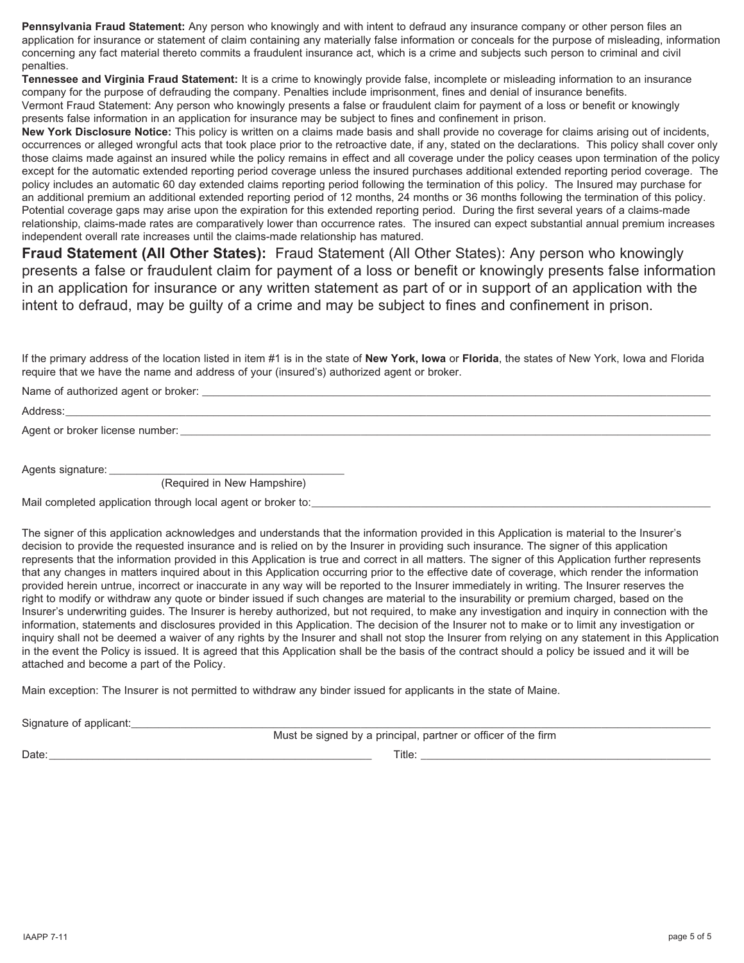**Pennsylvania Fraud Statement:** Any person who knowingly and with intent to defraud any insurance company or other person files an application for insurance or statement of claim containing any materially false information or conceals for the purpose of misleading, information concerning any fact material thereto commits a fraudulent insurance act, which is a crime and subjects such person to criminal and civil penalties.

**Tennessee and Virginia Fraud Statement:** It is a crime to knowingly provide false, incomplete or misleading information to an insurance company for the purpose of defrauding the company. Penalties include imprisonment, fines and denial of insurance benefits.

Vermont Fraud Statement: Any person who knowingly presents a false or fraudulent claim for payment of a loss or benefit or knowingly presents false information in an application for insurance may be subject to fines and confinement in prison.

**New York Disclosure Notice:** This policy is written on a claims made basis and shall provide no coverage for claims arising out of incidents, occurrences or alleged wrongful acts that took place prior to the retroactive date, if any, stated on the declarations. This policy shall cover only those claims made against an insured while the policy remains in effect and all coverage under the policy ceases upon termination of the policy except for the automatic extended reporting period coverage unless the insured purchases additional extended reporting period coverage. The policy includes an automatic 60 day extended claims reporting period following the termination of this policy. The Insured may purchase for an additional premium an additional extended reporting period of 12 months, 24 months or 36 months following the termination of this policy. Potential coverage gaps may arise upon the expiration for this extended reporting period. During the first several years of a claims-made relationship, claims-made rates are comparatively lower than occurrence rates. The insured can expect substantial annual premium increases independent overall rate increases until the claims-made relationship has matured.

**Fraud Statement (All Other States):** Fraud Statement (All Other States): Any person who knowingly presents a false or fraudulent claim for payment of a loss or benefit or knowingly presents false information in an application for insurance or any written statement as part of or in support of an application with the intent to defraud, may be guilty of a crime and may be subject to fines and confinement in prison.

If the primary address of the location listed in item #1 is in the state of **New York, Iowa** or **Florida**, the states of New York, Iowa and Florida require that we have the name and address of your (insured's) authorized agent or broker.

Name of authorized agent or broker:

Address:\_\_\_\_\_\_\_\_\_\_\_\_\_\_\_\_\_\_\_\_\_\_\_\_\_\_\_\_\_\_\_\_\_\_\_\_\_\_\_\_\_\_\_\_\_\_\_\_\_\_\_\_\_\_\_\_\_\_\_\_\_\_\_\_\_\_\_\_\_\_\_\_\_\_\_\_\_\_\_\_\_\_\_\_\_\_\_\_\_\_\_\_\_\_\_\_\_\_\_\_\_\_\_\_\_\_\_\_\_\_\_\_\_\_\_\_\_\_

Agent or broker license number:

Agents signature:

(Required in New Hampshire)

Mail completed application through local agent or broker to:

The signer of this application acknowledges and understands that the information provided in this Application is material to the Insurer's decision to provide the requested insurance and is relied on by the Insurer in providing such insurance. The signer of this application represents that the information provided in this Application is true and correct in all matters. The signer of this Application further represents that any changes in matters inquired about in this Application occurring prior to the effective date of coverage, which render the information provided herein untrue, incorrect or inaccurate in any way will be reported to the Insurer immediately in writing. The Insurer reserves the right to modify or withdraw any quote or binder issued if such changes are material to the insurability or premium charged, based on the Insurer's underwriting guides. The Insurer is hereby authorized, but not required, to make any investigation and inquiry in connection with the information, statements and disclosures provided in this Application. The decision of the Insurer not to make or to limit any investigation or inquiry shall not be deemed a waiver of any rights by the Insurer and shall not stop the Insurer from relying on any statement in this Application in the event the Policy is issued. It is agreed that this Application shall be the basis of the contract should a policy be issued and it will be attached and become a part of the Policy.

Main exception: The Insurer is not permitted to withdraw any binder issued for applicants in the state of Maine.

Signature of applicant:

Must be signed by a principal, partner or officer of the firm

Date:\_\_\_\_\_\_\_\_\_\_\_\_\_\_\_\_\_\_\_\_\_\_\_\_\_\_\_\_\_\_\_\_\_\_\_\_\_\_\_\_\_\_\_\_\_\_\_\_\_\_\_\_\_\_\_\_\_\_\_ Title: \_\_\_\_\_\_\_\_\_\_\_\_\_\_\_\_\_\_\_\_\_\_\_\_\_\_\_\_\_\_\_\_\_\_\_\_\_\_\_\_\_\_\_\_\_\_\_\_\_\_\_\_\_

IAAPP 7-11 page 5 of 5